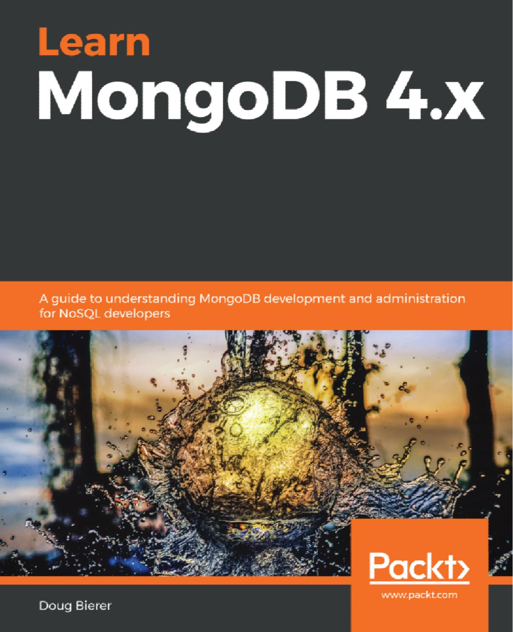## Learn MongoDB 4.X

A guide to understanding MongoDB development and administration for NoSQL developers



www.packt.com

Doug Bierer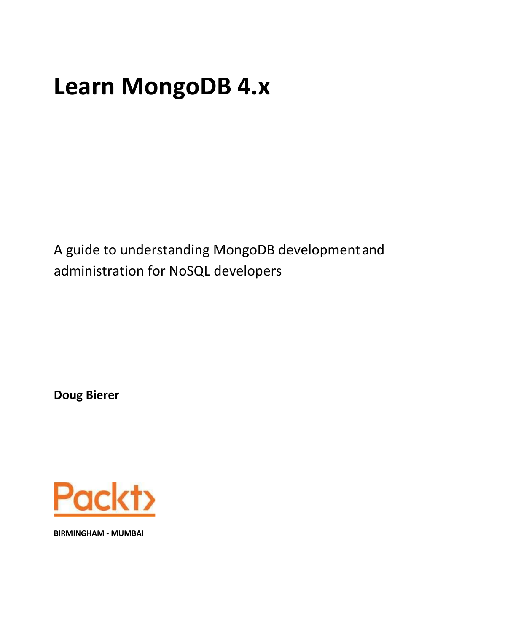## **Learn MongoDB 4.x**

A guide to understanding MongoDB developmentand administration for NoSQL developers

**Doug Bierer**



**BIRMINGHAM - MUMBAI**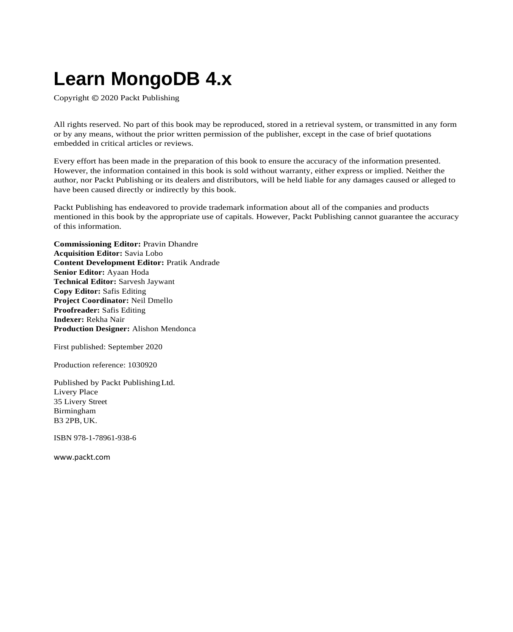## **Learn MongoDB 4.x**

Copyright © 2020 Packt Publishing

All rights reserved. No part of this book may be reproduced, stored in a retrieval system, or transmitted in any form or by any means, without the prior written permission of the publisher, except in the case of brief quotations embedded in critical articles or reviews.

Every effort has been made in the preparation of this book to ensure the accuracy of the information presented. However, the information contained in this book is sold without warranty, either express or implied. Neither the author, nor Packt Publishing or its dealers and distributors, will be held liable for any damages caused or alleged to have been caused directly or indirectly by this book.

Packt Publishing has endeavored to provide trademark information about all of the companies and products mentioned in this book by the appropriate use of capitals. However, Packt Publishing cannot guarantee the accuracy of this information.

**Commissioning Editor:** Pravin Dhandre **Acquisition Editor:** Savia Lobo **Content Development Editor:** Pratik Andrade **Senior Editor:** Ayaan Hoda **Technical Editor:** Sarvesh Jaywant **Copy Editor:** Safis Editing **Project Coordinator:** Neil Dmello **Proofreader:** Safis Editing **Indexer:** Rekha Nair **Production Designer:** Alishon Mendonca

First published: September 2020

Production reference: 1030920

Published by Packt PublishingLtd. Livery Place 35 Livery Street Birmingham B3 2PB, UK.

ISBN 978-1-78961-938-6

[www.packt.com](http://www.packt.com/)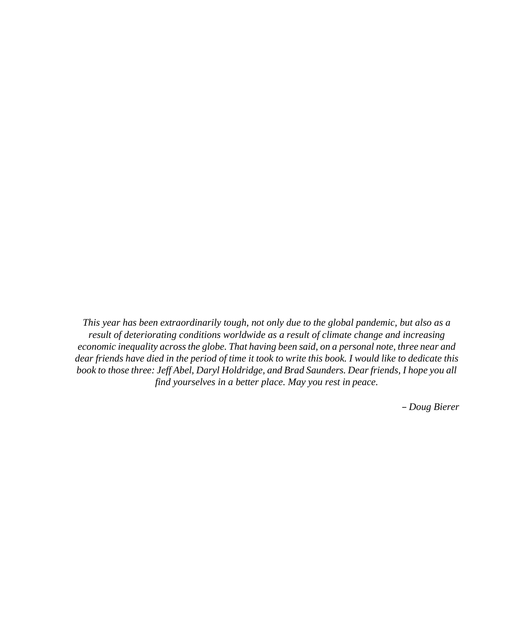*This year has been extraordinarily tough, not only due to the global pandemic, but also as a result of deteriorating conditions worldwide as a result of climate change and increasing economic inequality acrossthe globe. That having been said, on a personal note, three near and*  dear friends have died in the period of time it took to write this book. I would like to dedicate this *book to those three: Jeff Abel, Daryl Holdridge, and Brad Saunders. Dear friends, I hope you all find yourselves in a better place. May you rest in peace.*

*– Doug Bierer*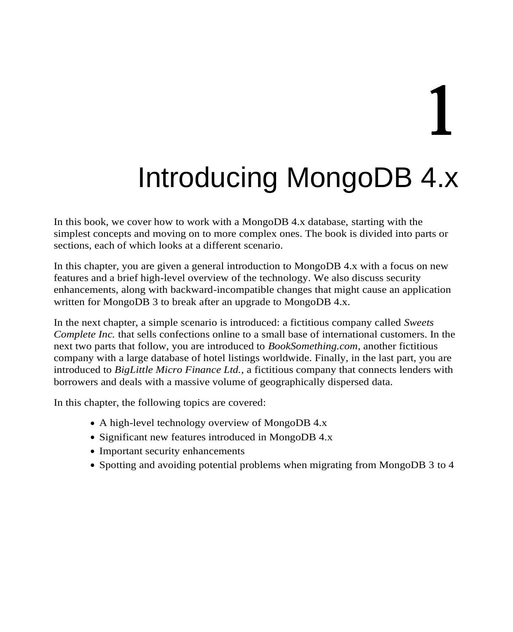# $\mathbf{1}$

## Introducing MongoDB 4.x

In this book, we cover how to work with a MongoDB 4.x database, starting with the simplest concepts and moving on to more complex ones. The book is divided into parts or sections, each of which looks at a different scenario.

In this chapter, you are given a general introduction to MongoDB 4.x with a focus on new features and a brief high-level overview of the technology. We also discuss security enhancements, along with backward-incompatible changes that might cause an application written for MongoDB 3 to break after an upgrade to MongoDB 4.x.

In the next chapter, a simple scenario is introduced: a fictitious company called *Sweets Complete Inc.* that sells confections online to a small base of international customers. In the next two parts that follow, you are introduced to *BookSomething.com*, another fictitious company with a large database of hotel listings worldwide. Finally, in the last part, you are introduced to *BigLittle Micro Finance Ltd.*, a fictitious company that connects lenders with borrowers and deals with a massive volume of geographically dispersed data.

In this chapter, the following topics are covered:

- A high-level technology overview of MongoDB 4.x
- Significant new features introduced in MongoDB 4.x
- Important security enhancements
- Spotting and avoiding potential problems when migrating from MongoDB 3 to 4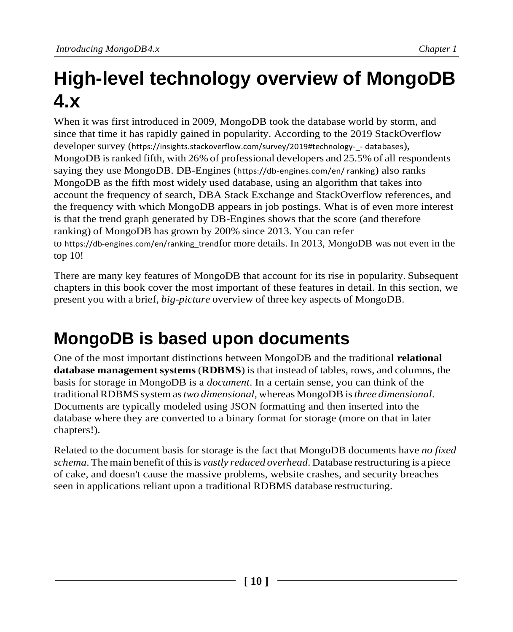## **High-level technology overview of MongoDB 4.x**

When it was first introduced in 2009, MongoDB took the database world by storm, and since that time it has rapidly gained in popularity. According to the 2019 StackOverflow developer survey ([https://insights.stackoverflow.com/survey/2019#technology-\\_-](https://insights.stackoverflow.com/survey/2019#technology-_-databases) [databases](https://insights.stackoverflow.com/survey/2019#technology-_-databases)), MongoDB isranked fifth, with 26% of professional developers and 25.5% of all respondents saying they use MongoDB. DB-Engines ([https://db-engines.com/en/](https://db-engines.com/en/ranking) [ranking](https://db-engines.com/en/ranking)) also ranks MongoDB as the fifth most widely used database, using an algorithm that takes into account the frequency of search, DBA Stack Exchange and StackOverflow references, and the frequency with which MongoDB appears in job postings. What is of even more interest is that the trend graph generated by DB-Engines shows that the score (and therefore ranking) of MongoDB has grown by 200% since 2013. You can refer to [https://db-engines.com/en/ranking\\_trend](https://db-engines.com/en/ranking_trend)for more details. In 2013, MongoDB was not even in the top 10!

There are many key features of MongoDB that account for its rise in popularity. Subsequent chapters in this book cover the most important of these features in detail. In this section, we present you with a brief, *big-picture* overview of three key aspects of MongoDB.

## **MongoDB is based upon documents**

One of the most important distinctions between MongoDB and the traditional **relational database management systems** (**RDBMS**) is that instead of tables, rows, and columns, the basis for storage in MongoDB is a *document*. In a certain sense, you can think of the traditionalRDBMS system as*two dimensional*, whereas MongoDB is*three dimensional*. Documents are typically modeled using JSON formatting and then inserted into the database where they are converted to a binary format for storage (more on that in later chapters!).

Related to the document basis for storage is the fact that MongoDB documents have *no fixed schema*.Themain benefit ofthisis *vastly reduced overhead*. Database restructuring is a piece of cake, and doesn't cause the massive problems, website crashes, and security breaches seen in applications reliant upon a traditional RDBMS database restructuring.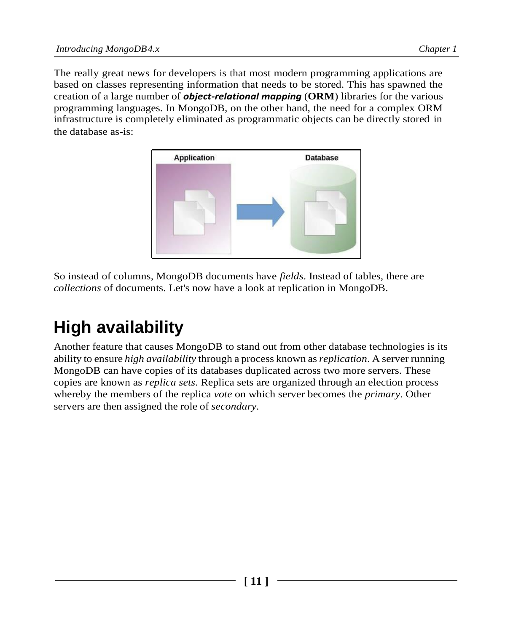The really great news for developers is that most modern programming applications are based on classes representing information that needs to be stored. This has spawned the creation of a large number of *object-relational mapping* (**ORM**) libraries for the various programming languages. In MongoDB, on the other hand, the need for a complex ORM infrastructure is completely eliminated as programmatic objects can be directly stored in the database as-is:



So instead of columns, MongoDB documents have *fields*. Instead of tables, there are *collections* of documents. Let's now have a look at replication in MongoDB.

## **High availability**

Another feature that causes MongoDB to stand out from other database technologies is its ability to ensure *high availability* through a process known as *replication*. A server running MongoDB can have copies of its databases duplicated across two more servers. These copies are known as *replica sets*. Replica sets are organized through an election process whereby the members of the replica *vote* on which server becomes the *primary*. Other servers are then assigned the role of *secondary*.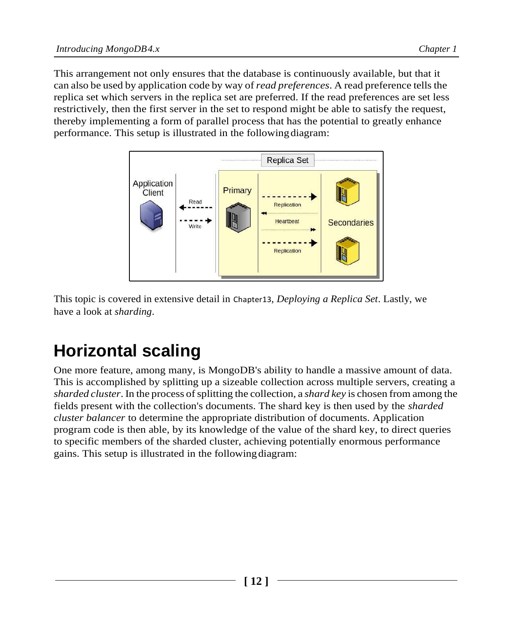This arrangement not only ensures that the database is continuously available, but that it can also be used by application code by way of*read preferences*. A read preference tells the replica set which servers in the replica set are preferred. If the read preferences are set less restrictively, then the first server in the set to respond might be able to satisfy the request, thereby implementing a form of parallel process that has the potential to greatly enhance performance. This setup is illustrated in the followingdiagram:



This topic is covered in extensive detail in Chapter13, *Deploying a Replica Set*. Lastly, we have a look at *sharding*.

## **Horizontal scaling**

One more feature, among many, is MongoDB's ability to handle a massive amount of data. This is accomplished by splitting up a sizeable collection across multiple servers, creating a *sharded cluster*. In the process ofsplitting the collection, a *shard key* is chosen from among the fields present with the collection's documents. The shard key is then used by the *sharded cluster balancer* to determine the appropriate distribution of documents. Application program code is then able, by its knowledge of the value of the shard key, to direct queries to specific members of the sharded cluster, achieving potentially enormous performance gains. This setup is illustrated in the followingdiagram: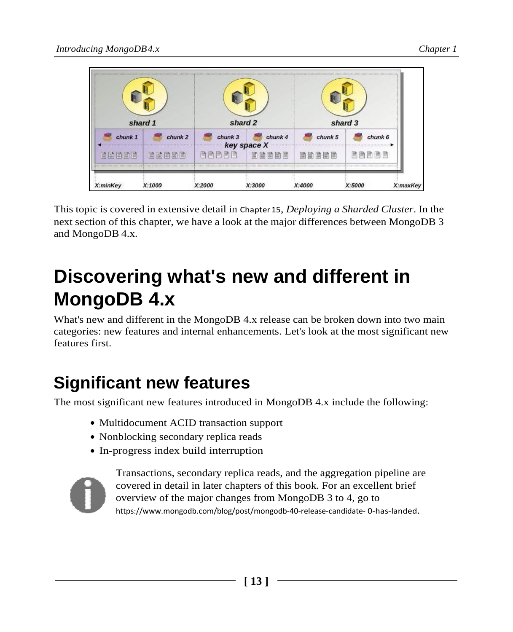

This topic is covered in extensive detail in Chapter15, *Deploying a Sharded Cluster*. In the next section of this chapter, we have a look at the major differences between MongoDB 3 and MongoDB 4.x.

## **Discovering what's new and different in MongoDB 4.x**

What's new and different in the MongoDB 4.x release can be broken down into two main categories: new features and internal enhancements. Let's look at the most significant new features first.

## **Significant new features**

The most significant new features introduced in MongoDB 4.x include the following:

- Multidocument ACID transaction support
- Nonblocking secondary replica reads
- In-progress index build interruption



Transactions, secondary replica reads, and the aggregation pipeline are covered in detail in later chapters of this book. For an excellent brief overview of the major changes from MongoDB 3 to 4, go to [https://www.mongodb.com/blog/post/mongodb-40-release-candidate-](https://www.mongodb.com/blog/post/mongodb-40-release-candidate-0-has-landed) [0-has-landed](https://www.mongodb.com/blog/post/mongodb-40-release-candidate-0-has-landed).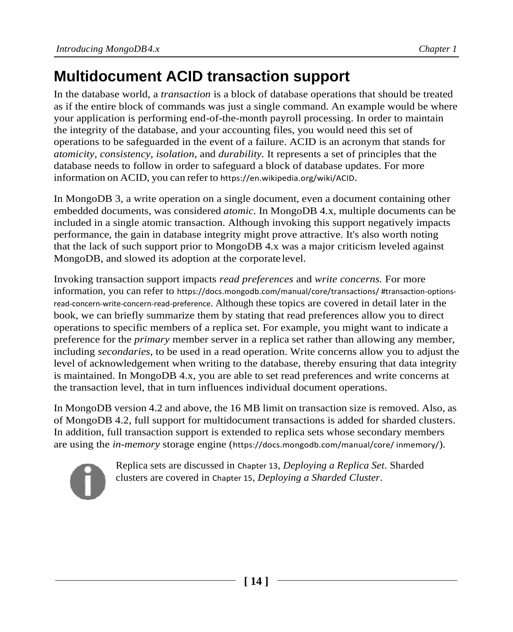#### **Multidocument ACID transaction support**

In the database world, a *transaction* is a block of database operations that should be treated as if the entire block of commands was just a single command. An example would be where your application is performing end-of-the-month payroll processing. In order to maintain the integrity of the database, and your accounting files, you would need this set of operations to be safeguarded in the event of a failure. ACID is an acronym that stands for *atomicity*, *consistency*, *isolation*, and *durability.* It represents a set of principles that the database needs to follow in order to safeguard a block of database updates. For more information on ACID, you can refer to <https://en.wikipedia.org/wiki/ACID>.

In MongoDB 3, a write operation on a single document, even a document containing other embedded documents, was considered *atomic*. In MongoDB 4.x, multiple documents can be included in a single atomic transaction. Although invoking this support negatively impacts performance, the gain in database integrity might prove attractive. It's also worth noting that the lack of such support prior to MongoDB 4.x was a major criticism leveled against MongoDB, and slowed its adoption at the corporate level.

Invoking transaction support impacts *read preferences* and *write concerns.* For more information, you can refer to [https://docs.mongodb.com/manual/core/transactions/](https://docs.mongodb.com/manual/core/transactions/#transaction-options-read-concern-write-concern-read-preference) [#transaction-options](https://docs.mongodb.com/manual/core/transactions/#transaction-options-read-concern-write-concern-read-preference)[read-concern-write-concern-read-preference](https://docs.mongodb.com/manual/core/transactions/#transaction-options-read-concern-write-concern-read-preference). Although these topics are covered in detail later in the book, we can briefly summarize them by stating that read preferences allow you to direct operations to specific members of a replica set. For example, you might want to indicate a preference for the *primary* member server in a replica set rather than allowing any member, including *secondaries*, to be used in a read operation. Write concerns allow you to adjust the level of acknowledgement when writing to the database, thereby ensuring that data integrity is maintained. In MongoDB 4.x, you are able to set read preferences and write concerns at the transaction level, that in turn influences individual document operations.

In MongoDB version 4.2 and above, the 16 MB limit on transaction size is removed. Also, as of MongoDB 4.2, full support for multidocument transactions is added for sharded clusters. In addition, full transaction support is extended to replica sets whose secondary members are using the *in-memory* storage engine ([https://docs.mongodb.com/manual/core/](https://docs.mongodb.com/manual/core/inmemory/) [inmemory/](https://docs.mongodb.com/manual/core/inmemory/)).



Replica sets are discussed in Chapter 13, *Deploying a Replica Set*. Sharded clusters are covered in Chapter 15, *Deploying a Sharded Cluster*.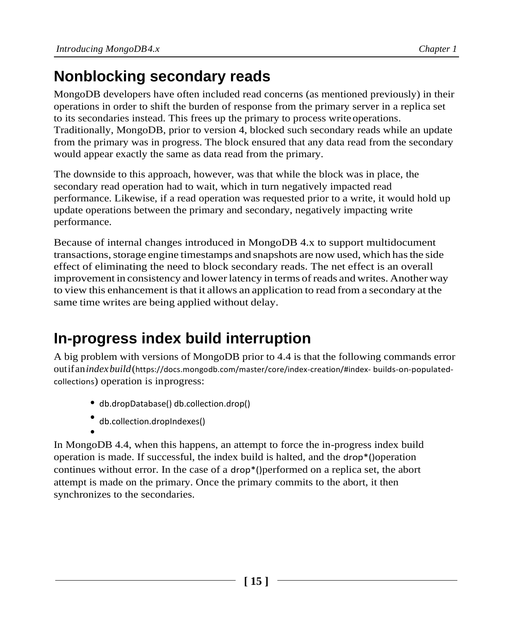#### **Nonblocking secondary reads**

MongoDB developers have often included read concerns (as mentioned previously) in their operations in order to shift the burden of response from the primary server in a replica set to its secondaries instead. This frees up the primary to process write operations. Traditionally, MongoDB, prior to version 4, blocked such secondary reads while an update from the primary was in progress. The block ensured that any data read from the secondary would appear exactly the same as data read from the primary.

The downside to this approach, however, was that while the block was in place, the secondary read operation had to wait, which in turn negatively impacted read performance. Likewise, if a read operation was requested prior to a write, it would hold up update operations between the primary and secondary, negatively impacting write performance.

Because of internal changes introduced in MongoDB 4.x to support multidocument transactions, storage engine timestamps and snapshots are now used, which has the side effect of eliminating the need to block secondary reads. The net effect is an overall improvement in consistency and lowerlatency in terms ofreads and writes. Another way to view this enhancement isthat it allows an application to read from a secondary at the same time writes are being applied without delay.

#### **In-progress index build interruption**

A big problem with versions of MongoDB prior to 4.4 is that the following commands error outifan*indexbuild*([https://docs.mongodb.com/master/core/index-creation/#index-](https://docs.mongodb.com/master/core/index-creation/#index-builds-on-populated-collections) [builds-on-populated](https://docs.mongodb.com/master/core/index-creation/#index-builds-on-populated-collections)[collections](https://docs.mongodb.com/master/core/index-creation/#index-builds-on-populated-collections)) operation is inprogress:

- db.dropDatabase() db.collection.drop()
- db.collection.dropIndexes()

In MongoDB 4.4, when this happens, an attempt to force the in-progress index build operation is made. If successful, the index build is halted, and the drop\*()operation continues without error. In the case of a drop\*()performed on a replica set, the abort attempt is made on the primary. Once the primary commits to the abort, it then synchronizes to the secondaries.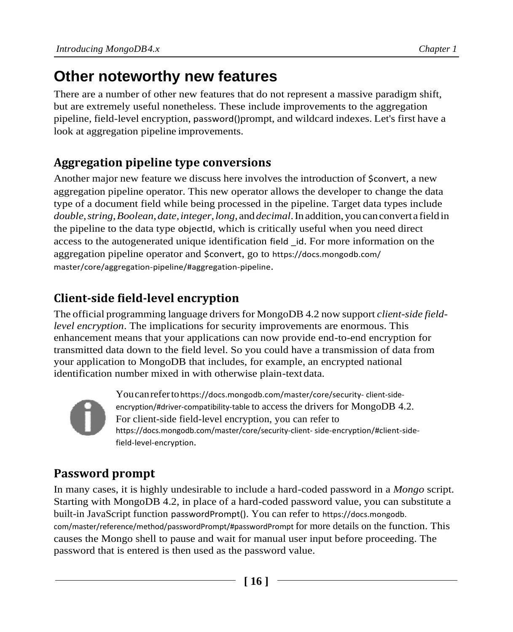#### **Other noteworthy new features**

There are a number of other new features that do not represent a massive paradigm shift, but are extremely useful nonetheless. These include improvements to the aggregation pipeline, field-level encryption, password()prompt, and wildcard indexes. Let's first have a look at aggregation pipeline improvements.

#### **Aggregation pipeline type conversions**

Another major new feature we discuss here involves the introduction of \$convert, a new aggregation pipeline operator. This new operator allows the developer to change the data type of a document field while being processed in the pipeline. Target data types include *double*,*string*,*Boolean*,*date*,*integer*,*long*, and*decimal*.In addition,you canconvert a fieldin the pipeline to the data type objectId, which is critically useful when you need direct access to the autogenerated unique identification field \_id. For more information on the aggregation pipeline operator and \$convert, go to [https://docs.mongodb.com/](https://docs.mongodb.com/master/core/aggregation-pipeline/#aggregation-pipeline) [master/core/aggregation-pipeline/#aggregation-pipeline](https://docs.mongodb.com/master/core/aggregation-pipeline/#aggregation-pipeline).

#### **Client-side field-level encryption**

The official programming language driversfor MongoDB 4.2 now support *client-side fieldlevel encryption*. The implications for security improvements are enormous. This enhancement means that your applications can now provide end-to-end encryption for transmitted data down to the field level. So you could have a transmission of data from your application to MongoDB that includes, for example, an encrypted national identification number mixed in with otherwise plain-text data.



Youcanreferto[https://docs.mongodb.com/master/core/security-](https://docs.mongodb.com/master/core/security-client-side-encryption/#driver-compatibility-table) [client-side](https://docs.mongodb.com/master/core/security-client-side-encryption/#driver-compatibility-table)[encryption/#driver-compatibility-table](https://docs.mongodb.com/master/core/security-client-side-encryption/#driver-compatibility-table) to access the drivers for MongoDB 4.2. For client-side field-level encryption, you can refer to [https://docs.mongodb.com/master/core/security-client-](https://docs.mongodb.com/master/core/security-client-side-encryption/#client-side-field-level-encryption) [side-encryption/#client-side](https://docs.mongodb.com/master/core/security-client-side-encryption/#client-side-field-level-encryption)[field-level-encryption](https://docs.mongodb.com/master/core/security-client-side-encryption/#client-side-field-level-encryption).

#### **Password prompt**

In many cases, it is highly undesirable to include a hard-coded password in a *Mongo* script. Starting with MongoDB 4.2, in place of a hard-coded password value, you can substitute a built-in JavaScript function passwordPrompt(). You can refer to [https://docs.mongodb.](https://docs.mongodb.com/master/reference/method/passwordPrompt/#passwordPrompt) [com/master/reference/method/passwordPrompt/#passwordPrompt](https://docs.mongodb.com/master/reference/method/passwordPrompt/#passwordPrompt) for more details on the function. This causes the Mongo shell to pause and wait for manual user input before proceeding. The password that is entered is then used as the password value.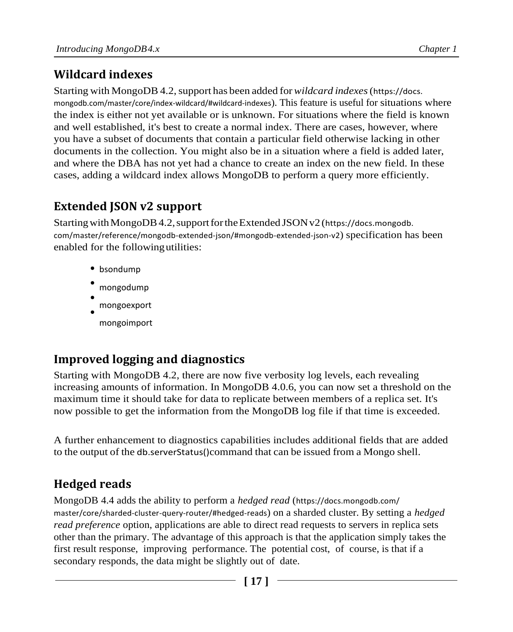#### **Wildcard indexes**

Starting with MongoDB 4.2,support has been added for*wildcard indexes*([https://docs.](https://docs.mongodb.com/master/core/index-wildcard/#wildcard-indexes) [mongodb.com/master/core/index-wildcard/#wildcard-indexes](https://docs.mongodb.com/master/core/index-wildcard/#wildcard-indexes)). This feature is useful for situations where the index is either not yet available or is unknown. For situations where the field is known and well established, it's best to create a normal index. There are cases, however, where you have a subset of documents that contain a particular field otherwise lacking in other documents in the collection. You might also be in a situation where a field is added later, and where the DBA has not yet had a chance to create an index on the new field. In these cases, adding a wildcard index allows MongoDB to perform a query more efficiently.

#### **Extended JSON v2 support**

Starting with MongoDB4.2, support for the Extended JSON v2 ([https://docs.mongodb.](https://docs.mongodb.com/master/reference/mongodb-extended-json/#mongodb-extended-json-v2) [com/master/reference/mongodb-extended-json/#mongodb-extended-json-v2](https://docs.mongodb.com/master/reference/mongodb-extended-json/#mongodb-extended-json-v2)) specification has been enabled for the followingutilities:

- bsondump
- mongodump
- mongoexport
- mongoimport

#### **Improved logging and diagnostics**

Starting with MongoDB 4.2, there are now five verbosity log levels, each revealing increasing amounts of information. In MongoDB 4.0.6, you can now set a threshold on the maximum time it should take for data to replicate between members of a replica set. It's now possible to get the information from the MongoDB log file if that time is exceeded.

A further enhancement to diagnostics capabilities includes additional fields that are added to the output of the db.serverStatus()command that can be issued from a Mongo shell.

#### **Hedged reads**

MongoDB 4.4 adds the ability to perform a *hedged read* ([https://docs.mongodb.com/](https://docs.mongodb.com/master/core/sharded-cluster-query-router/#hedged-reads) [master/core/sharded-cluster-query-router/#hedged-reads](https://docs.mongodb.com/master/core/sharded-cluster-query-router/#hedged-reads)) on a sharded cluster. By setting a *hedged read preference* option, applications are able to direct read requests to servers in replica sets other than the primary. The advantage of this approach is that the application simply takes the first result response, improving performance. The potential cost, of course, is that if a secondary responds, the data might be slightly out of date.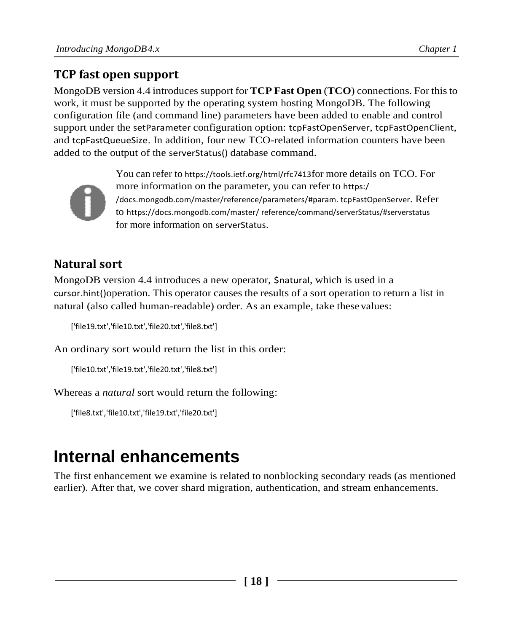#### **TCP fast open support**

MongoDB version 4.4 introduces support for **TCP Fast Open** (**TCO**) connections. For thisto work, it must be supported by the operating system hosting MongoDB. The following configuration file (and command line) parameters have been added to enable and control support under the setParameter configuration option: tcpFastOpenServer, tcpFastOpenClient, and tcpFastQueueSize. In addition, four new TCO-related information counters have been added to the output of the serverStatus() database command.



You can refer to <https://tools.ietf.org/html/rfc7413>for more details on TCO. For more information on the parameter, you can refer to [https:/](https://docs.mongodb.com/master/reference/parameters/#param.tcpFastOpenServer) [/docs.mongodb.com/master/reference/parameters/#param.](https://docs.mongodb.com/master/reference/parameters/#param.tcpFastOpenServer) [tcpFastOpenServer](https://docs.mongodb.com/master/reference/parameters/#param.tcpFastOpenServer). Refer to [https://docs.mongodb.com/master/](https://docs.mongodb.com/master/reference/command/serverStatus/#serverstatus) [reference/command/serverStatus/#serverstatus](https://docs.mongodb.com/master/reference/command/serverStatus/#serverstatus)  for more information on serverStatus.

#### **Natural sort**

MongoDB version 4.4 introduces a new operator, \$natural, which is used in a cursor.hint()operation. This operator causes the results of a sort operation to return a list in natural (also called human-readable) order. As an example, take thesevalues:

```
['file19.txt','file10.txt','file20.txt','file8.txt']
```
An ordinary sort would return the list in this order:

['file10.txt','file19.txt','file20.txt','file8.txt']

Whereas a *natural* sort would return the following:

['file8.txt','file10.txt','file19.txt','file20.txt']

## **Internal enhancements**

The first enhancement we examine is related to nonblocking secondary reads (as mentioned earlier). After that, we cover shard migration, authentication, and stream enhancements.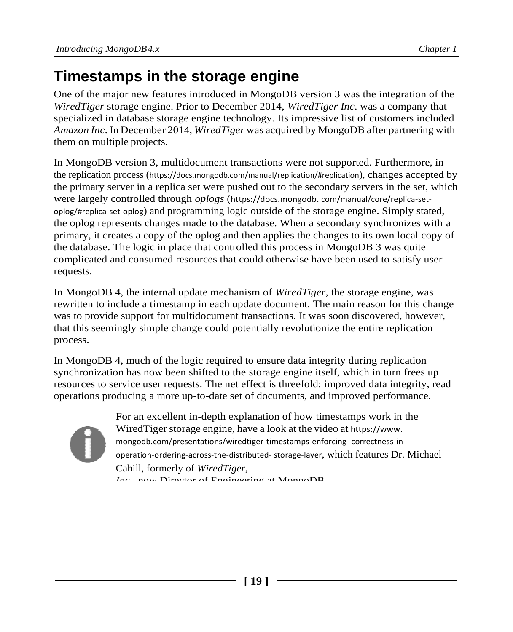#### **Timestamps in the storage engine**

One of the major new features introduced in MongoDB version 3 was the integration of the *WiredTiger* storage engine. Prior to December 2014, *WiredTiger Inc*. was a company that specialized in database storage engine technology. Its impressive list of customers included *Amazon Inc*. In December 2014, *WiredTiger* was acquired by MongoDB after partnering with them on multiple projects.

In MongoDB version 3, multidocument transactions were not supported. Furthermore, in the replication process (<https://docs.mongodb.com/manual/replication/#replication>), changes accepted by the primary server in a replica set were pushed out to the secondary servers in the set, which were largely controlled through *oplogs* ([https://docs.mongodb.](https://docs.mongodb.com/manual/core/replica-set-oplog/#replica-set-oplog) [com/manual/core/replica-set](https://docs.mongodb.com/manual/core/replica-set-oplog/#replica-set-oplog)[oplog/#replica-set-oplog](https://docs.mongodb.com/manual/core/replica-set-oplog/#replica-set-oplog)) and programming logic outside of the storage engine. Simply stated, the oplog represents changes made to the database. When a secondary synchronizes with a primary, it creates a copy of the oplog and then applies the changes to its own local copy of the database. The logic in place that controlled this process in MongoDB 3 was quite complicated and consumed resources that could otherwise have been used to satisfy user requests.

In MongoDB 4, the internal update mechanism of *WiredTiger,* the storage engine, was rewritten to include a timestamp in each update document. The main reason for this change was to provide support for multidocument transactions. It was soon discovered, however, that this seemingly simple change could potentially revolutionize the entire replication process.

In MongoDB 4, much of the logic required to ensure data integrity during replication synchronization has now been shifted to the storage engine itself, which in turn frees up resources to service user requests. The net effect is threefold: improved data integrity, read operations producing a more up-to-date set of documents, and improved performance.



For an excellent in-depth explanation of how timestamps work in the WiredTiger storage engine, have a look at the video at [https://www.](https://www.mongodb.com/presentations/wiredtiger-timestamps-enforcing-correctness-in-operation-ordering-across-the-distributed-storage-layer) [mongodb.com/presentations/wiredtiger-timestamps-enforcing-](https://www.mongodb.com/presentations/wiredtiger-timestamps-enforcing-correctness-in-operation-ordering-across-the-distributed-storage-layer) [correctness-in](https://www.mongodb.com/presentations/wiredtiger-timestamps-enforcing-correctness-in-operation-ordering-across-the-distributed-storage-layer)[operation-ordering-across-the-distributed-](https://www.mongodb.com/presentations/wiredtiger-timestamps-enforcing-correctness-in-operation-ordering-across-the-distributed-storage-layer) [storage-layer](https://www.mongodb.com/presentations/wiredtiger-timestamps-enforcing-correctness-in-operation-ordering-across-the-distributed-storage-layer), which features Dr. Michael Cahill, formerly of *WiredTiger,*

*Inc.*, now Director of Engineering at MongoDB.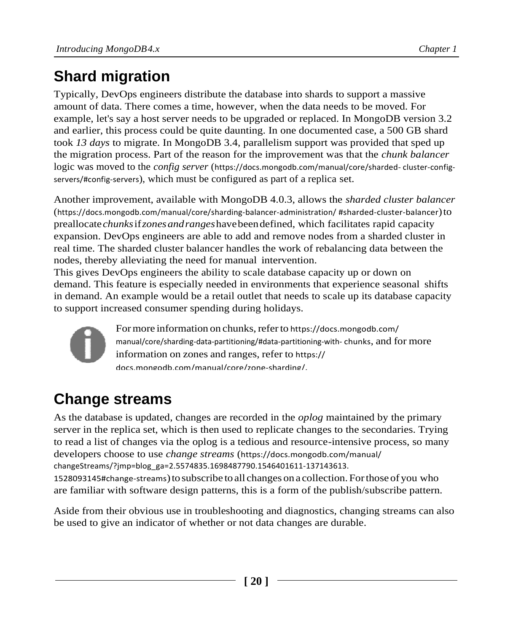#### **Shard migration**

Typically, DevOps engineers distribute the database into shards to support a massive amount of data. There comes a time, however, when the data needs to be moved. For example, let's say a host server needs to be upgraded or replaced. In MongoDB version 3.2 and earlier, this process could be quite daunting. In one documented case, a 500 GB shard took *13 days* to migrate. In MongoDB 3.4, parallelism support was provided that sped up the migration process. Part of the reason for the improvement was that the *chunk balancer*  logic was moved to the *config server* ([https://docs.mongodb.com/manual/core/sharded-](https://docs.mongodb.com/manual/core/sharded-cluster-config-servers/#config-servers) [cluster-config](https://docs.mongodb.com/manual/core/sharded-cluster-config-servers/#config-servers)[servers/#config-servers](https://docs.mongodb.com/manual/core/sharded-cluster-config-servers/#config-servers)), which must be configured as part of a replica set.

Another improvement, available with MongoDB 4.0.3, allows the *sharded cluster balancer*  ([https://docs.mongodb.com/manual/core/sharding-balancer-administration/](https://docs.mongodb.com/manual/core/sharding-balancer-administration/#sharded-cluster-balancer) [#sharded-cluster-balancer](https://docs.mongodb.com/manual/core/sharding-balancer-administration/#sharded-cluster-balancer))to preallocate*chunks*if*zonesandranges*havebeendefined, which facilitates rapid capacity expansion. DevOps engineers are able to add and remove nodes from a sharded cluster in real time. The sharded cluster balancer handles the work of rebalancing data between the nodes, thereby alleviating the need for manual intervention.

This gives DevOps engineers the ability to scale database capacity up or down on demand. This feature is especially needed in environments that experience seasonal shifts in demand. An example would be a retail outlet that needs to scale up its database capacity to support increased consumer spending during holidays.



For more information on chunks, refer to [https://docs.mongodb.com/](https://docs.mongodb.com/manual/core/sharding-data-partitioning/#data-partitioning-with-chunks) [manual/core/sharding-data-partitioning/#data-partitioning-with-](https://docs.mongodb.com/manual/core/sharding-data-partitioning/#data-partitioning-with-chunks) [chunks](https://docs.mongodb.com/manual/core/sharding-data-partitioning/#data-partitioning-with-chunks), and for more information on zones and ranges, refer to [https://](https://docs.mongodb.com/manual/core/zone-sharding/) [docs.mongodb.com/manual/core/zone-sharding/](https://docs.mongodb.com/manual/core/zone-sharding/).

#### **Change streams**

As the database is updated, changes are recorded in the *oplog* maintained by the primary server in the replica set, which is then used to replicate changes to the secondaries. Trying to read a list of changes via the oplog is a tedious and resource-intensive process, so many developers choose to use *change streams* ([https://docs.mongodb.com/manual/](https://docs.mongodb.com/manual/changeStreams/?jmp=blog&_ga=2.5574835.1698487790.1546401611-137143613.1528093145&change-streams) [changeStreams/?jmp=blog\\_ga=2.5574835.1698487790.1546401611-137143613.](https://docs.mongodb.com/manual/changeStreams/?jmp=blog&_ga=2.5574835.1698487790.1546401611-137143613.1528093145&change-streams)

[1528093145#change-streams](https://docs.mongodb.com/manual/changeStreams/?jmp=blog&_ga=2.5574835.1698487790.1546401611-137143613.1528093145&change-streams))to subscribe to all changes on a collection.Forthoseof you who are familiar with software design patterns, this is a form of the publish/subscribe pattern.

Aside from their obvious use in troubleshooting and diagnostics, changing streams can also be used to give an indicator of whether or not data changes are durable.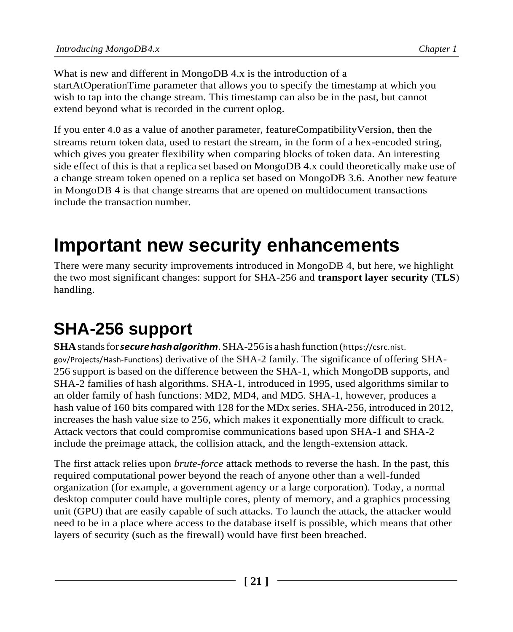What is new and different in MongoDB 4.x is the introduction of a startAtOperationTime parameter that allows you to specify the timestamp at which you wish to tap into the change stream. This timestamp can also be in the past, but cannot extend beyond what is recorded in the current oplog.

If you enter 4.0 as a value of another parameter, featureCompatibilityVersion, then the streams return token data, used to restart the stream, in the form of a hex-encoded string, which gives you greater flexibility when comparing blocks of token data. An interesting side effect of this is that a replica set based on MongoDB 4.x could theoretically make use of a change stream token opened on a replica set based on MongoDB 3.6. Another new feature in MongoDB 4 is that change streams that are opened on multidocument transactions include the transaction number.

## **Important new security enhancements**

There were many security improvements introduced in MongoDB 4, but here, we highlight the two most significant changes: support for SHA-256 and **transport layer security** (**TLS**) handling.

## **SHA-256 support**

**SHA**standsfor*securehashalgorithm*.SHA-256 is ahash function ([https://csrc.nist.](https://csrc.nist.gov/Projects/Hash-Functions) [gov/Projects/Hash-Functions](https://csrc.nist.gov/Projects/Hash-Functions)) derivative of the SHA-2 family. The significance of offering SHA-256 support is based on the difference between the SHA-1, which MongoDB supports, and SHA-2 families of hash algorithms. SHA-1, introduced in 1995, used algorithms similar to an older family of hash functions: MD2, MD4, and MD5. SHA-1, however, produces a hash value of 160 bits compared with 128 for the MDx series. SHA-256, introduced in 2012, increases the hash value size to 256, which makes it exponentially more difficult to crack. Attack vectors that could compromise communications based upon SHA-1 and SHA-2 include the preimage attack, the collision attack, and the length-extension attack.

The first attack relies upon *brute-force* attack methods to reverse the hash. In the past, this required computational power beyond the reach of anyone other than a well-funded organization (for example, a government agency or a large corporation). Today, a normal desktop computer could have multiple cores, plenty of memory, and a graphics processing unit (GPU) that are easily capable of such attacks. To launch the attack, the attacker would need to be in a place where access to the database itself is possible, which means that other layers of security (such as the firewall) would have first been breached.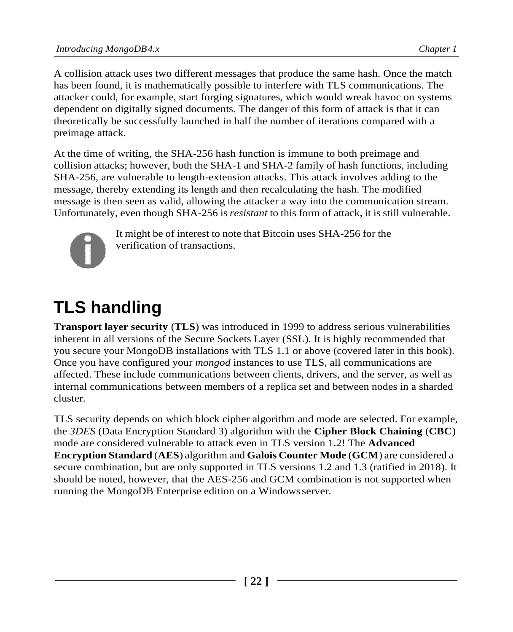A collision attack uses two different messages that produce the same hash. Once the match has been found, it is mathematically possible to interfere with TLS communications. The attacker could, for example, start forging signatures, which would wreak havoc on systems dependent on digitally signed documents. The danger of this form of attack is that it can theoretically be successfully launched in half the number of iterations compared with a preimage attack.

At the time of writing, the SHA-256 hash function is immune to both preimage and collision attacks; however, both the SHA-1 and SHA-2 family of hash functions, including SHA-256, are vulnerable to length-extension attacks. This attack involves adding to the message, thereby extending its length and then recalculating the hash. The modified message is then seen as valid, allowing the attacker a way into the communication stream. Unfortunately, even though SHA-256 is *resistant* to this form of attack, it is still vulnerable.



It might be of interest to note that Bitcoin uses SHA-256 for the verification of transactions.

## **TLS handling**

**Transport layer security** (**TLS**) was introduced in 1999 to address serious vulnerabilities inherent in all versions of the Secure Sockets Layer (SSL). It is highly recommended that you secure your MongoDB installations with TLS 1.1 or above (covered later in this book). Once you have configured your *mongod* instances to use TLS, all communications are affected. These include communications between clients, drivers, and the server, as well as internal communications between members of a replica set and between nodes in a sharded cluster.

TLS security depends on which block cipher algorithm and mode are selected. For example, the *3DES* (Data Encryption Standard 3) algorithm with the **Cipher Block Chaining** (**CBC**) mode are considered vulnerable to attack even in TLS version 1.2! The **Advanced Encryption Standard** (**AES**) algorithm and **Galois Counter Mode** (**GCM**) are considered a secure combination, but are only supported in TLS versions 1.2 and 1.3 (ratified in 2018). It should be noted, however, that the AES-256 and GCM combination is not supported when running the MongoDB Enterprise edition on a Windowsserver.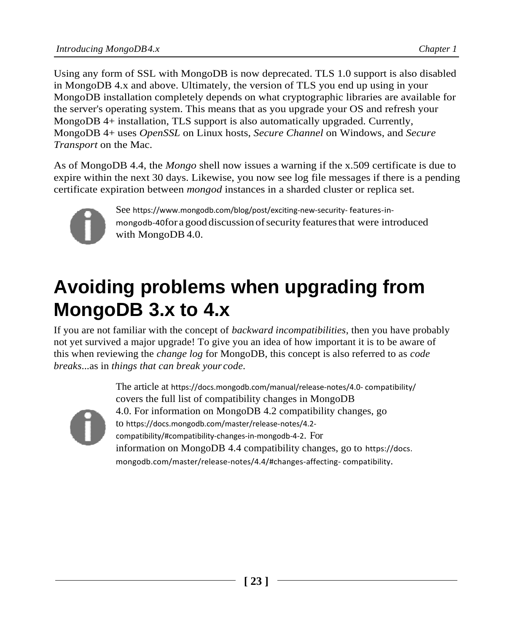Using any form of SSL with MongoDB is now deprecated. TLS 1.0 support is also disabled in MongoDB 4.x and above. Ultimately, the version of TLS you end up using in your MongoDB installation completely depends on what cryptographic libraries are available for the server's operating system. This means that as you upgrade your OS and refresh your MongoDB 4+ installation, TLS support is also automatically upgraded. Currently, MongoDB 4+ uses *OpenSSL* on Linux hosts, *Secure Channel* on Windows, and *Secure Transport* on the Mac.

As of MongoDB 4.4, the *Mongo* shell now issues a warning if the x.509 certificate is due to expire within the next 30 days. Likewise, you now see log file messages if there is a pending certificate expiration between *mongod* instances in a sharded cluster or replica set.



See [https://www.mongodb.com/blog/post/exciting-new-security-](https://www.mongodb.com/blog/post/exciting-new-security-features-in-mongodb-40) [features-in](https://www.mongodb.com/blog/post/exciting-new-security-features-in-mongodb-40)[mongodb-40](https://www.mongodb.com/blog/post/exciting-new-security-features-in-mongodb-40)for a good discussion of security features that were introduced with MongoDB 4.0.

## **Avoiding problems when upgrading from MongoDB 3.x to 4.x**

If you are not familiar with the concept of *backward incompatibilities*, then you have probably not yet survived a major upgrade! To give you an idea of how important it is to be aware of this when reviewing the *change log* for MongoDB, this concept is also referred to as *code breaks*...as in *things that can break your code*.



The article at [https://docs.mongodb.com/manual/release-notes/4.0-](https://docs.mongodb.com/manual/release-notes/4.2-compatibility/) [compatibility/](https://docs.mongodb.com/manual/release-notes/4.2-compatibility/)  covers the full list of compatibility changes in MongoDB 4.0. For information on MongoDB 4.2 compatibility changes, go to [https://docs.mongodb.com/master/release-notes/4.2](https://docs.mongodb.com/master/release-notes/4.2-compatibility/#compatibility-changes-in-mongodb-4-2) [compatibility/#compatibility-changes-in-mongodb-4-2](https://docs.mongodb.com/master/release-notes/4.2-compatibility/#compatibility-changes-in-mongodb-4-2). For information on MongoDB 4.4 compatibility changes, go to [https://docs.](https://docs.mongodb.com/master/release-notes/4.4/#changes-affecting-compatibility) [mongodb.com/master/release-notes/4.4/#changes-affecting-](https://docs.mongodb.com/master/release-notes/4.4/#changes-affecting-compatibility) [compatibility](https://docs.mongodb.com/master/release-notes/4.4/#changes-affecting-compatibility).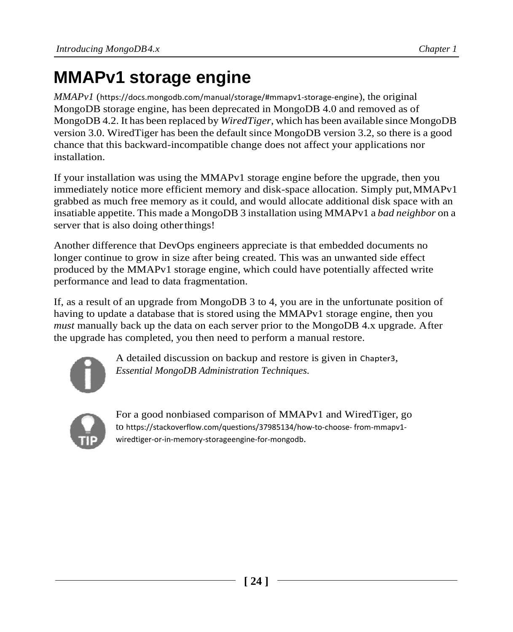## **MMAPv1 storage engine**

*MMAPv1* (<https://docs.mongodb.com/manual/storage/#mmapv1-storage-engine>), the original MongoDB storage engine, has been deprecated in MongoDB 4.0 and removed as of MongoDB 4.2. It has been replaced by *WiredTiger*, which has been available since MongoDB version 3.0. WiredTiger has been the default since MongoDB version 3.2, so there is a good chance that this backward-incompatible change does not affect your applications nor installation.

If your installation was using the MMAPv1 storage engine before the upgrade, then you immediately notice more efficient memory and disk-space allocation. Simply put,MMAPv1 grabbed as much free memory as it could, and would allocate additional disk space with an insatiable appetite. This made a MongoDB 3 installation using MMAPv1 a *bad neighbor* on a server that is also doing other things!

Another difference that DevOps engineers appreciate is that embedded documents no longer continue to grow in size after being created. This was an unwanted side effect produced by the MMAPv1 storage engine, which could have potentially affected write performance and lead to data fragmentation.

If, as a result of an upgrade from MongoDB 3 to 4, you are in the unfortunate position of having to update a database that is stored using the MMAPv1 storage engine, then you *must* manually back up the data on each server prior to the MongoDB 4.x upgrade. After the upgrade has completed, you then need to perform a manual restore.



A detailed discussion on backup and restore is given in Chapter3, *Essential MongoDB Administration Techniques*.



For a good nonbiased comparison of MMAPv1 and WiredTiger, go to [https://stackoverflow.com/questions/37985134/how-to-choose-](https://stackoverflow.com/questions/37985134/how-to-choose-from-mmapv1-wiredtiger-or-in-memory-storageengine-for-mongodb) [from-mmapv1](https://stackoverflow.com/questions/37985134/how-to-choose-from-mmapv1-wiredtiger-or-in-memory-storageengine-for-mongodb) [wiredtiger-or-in-memory-storageengine-for-mongodb](https://stackoverflow.com/questions/37985134/how-to-choose-from-mmapv1-wiredtiger-or-in-memory-storageengine-for-mongodb).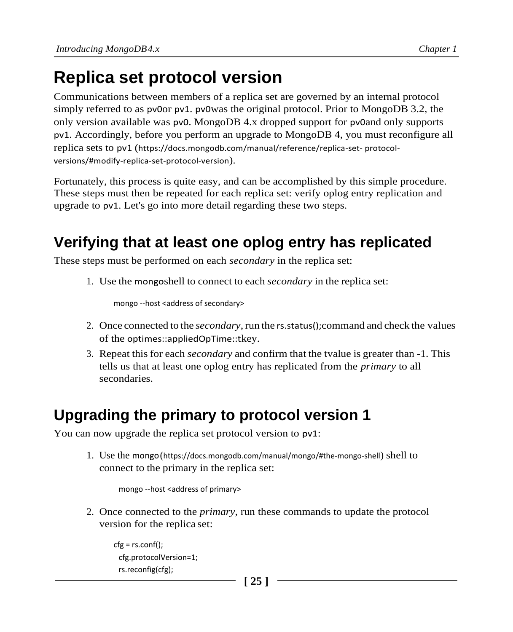## **Replica set protocol version**

Communications between members of a replica set are governed by an internal protocol simply referred to as pv0or pv1. pv0was the original protocol. Prior to MongoDB 3.2, the only version available was pv0. MongoDB 4.x dropped support for pv0and only supports pv1. Accordingly, before you perform an upgrade to MongoDB 4, you must reconfigure all replica sets to pv1 ([https://docs.mongodb.com/manual/reference/replica-set-](https://docs.mongodb.com/manual/reference/replica-set-protocol-versions/#modify-replica-set-protocol-version) [protocol](https://docs.mongodb.com/manual/reference/replica-set-protocol-versions/#modify-replica-set-protocol-version)[versions/#modify-replica-set-protocol-version](https://docs.mongodb.com/manual/reference/replica-set-protocol-versions/#modify-replica-set-protocol-version)).

Fortunately, this process is quite easy, and can be accomplished by this simple procedure. These steps must then be repeated for each replica set: verify oplog entry replication and upgrade to pv1. Let's go into more detail regarding these two steps.

#### **Verifying that at least one oplog entry has replicated**

These steps must be performed on each *secondary* in the replica set:

1. Use the mongoshell to connect to each *secondary* in the replica set:

mongo --host <address of secondary>

- 2. Once connected to the *secondary*, run the rs. status(); command and check the values of the optimes::appliedOpTime::tkey.
- 3. Repeat this for each *secondary* and confirm that the tvalue is greater than -1. This tells us that at least one oplog entry has replicated from the *primary* to all secondaries.

#### **Upgrading the primary to protocol version 1**

You can now upgrade the replica set protocol version to pv1:

1. Use the mongo(<https://docs.mongodb.com/manual/mongo/#the-mongo-shell>) shell to connect to the primary in the replica set:

mongo --host <address of primary>

2. Once connected to the *primary*, run these commands to update the protocol version for the replica set:

```
cfg = rs.conf();
cfg.protocolVersion=1; 
rs.reconfig(cfg);
```
**[ 25 ]**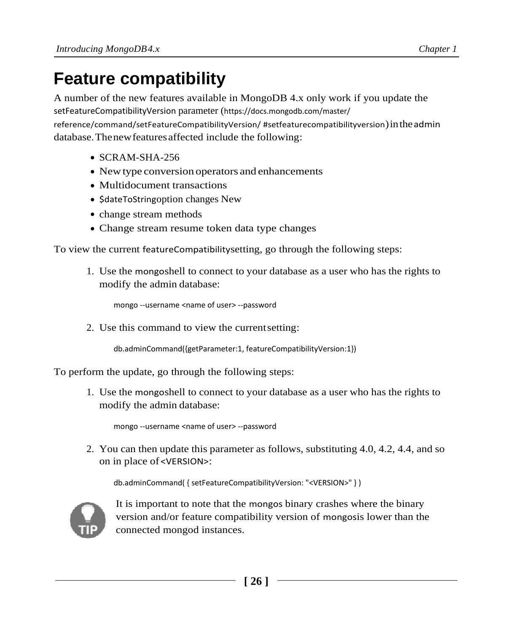## **Feature compatibility**

A number of the new features available in MongoDB 4.x only work if you update the setFeatureCompatibilityVersion parameter ([https://docs.mongodb.com/master/](https://docs.mongodb.com/master/reference/command/setFeatureCompatibilityVersion/#setfeaturecompatibilityversion)

[reference/command/setFeatureCompatibilityVersion/](https://docs.mongodb.com/master/reference/command/setFeatureCompatibilityVersion/#setfeaturecompatibilityversion) [#setfeaturecompatibilityversion](https://docs.mongodb.com/master/reference/command/setFeatureCompatibilityVersion/#setfeaturecompatibilityversion)) in the admin database.Thenewfeaturesaffected include the following:

- SCRAM-SHA-256
- Newtype conversion operators and enhancements
- Multidocument transactions
- \$dateToStringoption changes New
- change stream methods
- Change stream resume token data type changes

To view the current featureCompatibilitysetting, go through the following steps:

1. Use the mongoshell to connect to your database as a user who has the rights to modify the admin database:

mongo --username <name of user> --password

2. Use this command to view the currentsetting:

db.adminCommand({getParameter:1, featureCompatibilityVersion:1})

To perform the update, go through the following steps:

1. Use the mongoshell to connect to your database as a user who has the rights to modify the admin database:

mongo --username <name of user> --password

2. You can then update this parameter as follows, substituting 4.0, 4.2, 4.4, and so on in place of <VERSION>:

db.adminCommand( { setFeatureCompatibilityVersion: "<VERSION>" } )



It is important to note that the mongos binary crashes where the binary version and/or feature compatibility version of mongosis lower than the connected mongod instances.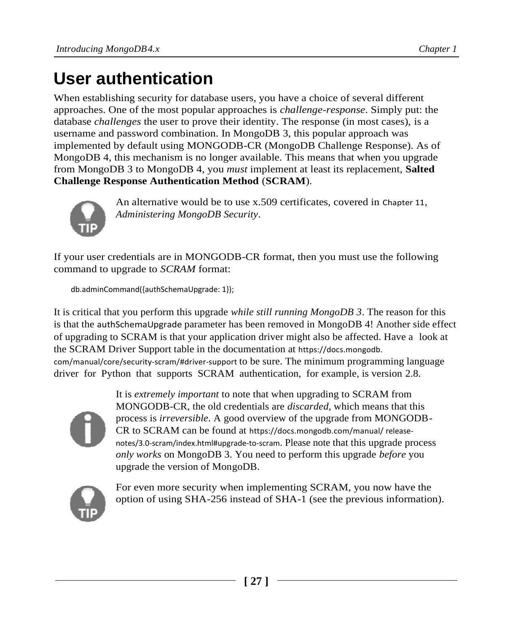## **User authentication**

When establishing security for database users, you have a choice of several different approaches. One of the most popular approaches is *challenge-response*. Simply put: the database *challenges* the user to prove their identity. The response (in most cases), is a username and password combination. In MongoDB 3, this popular approach was implemented by default using MONGODB-CR (MongoDB Challenge Response). As of MongoDB 4, this mechanism is no longer available. This means that when you upgrade from MongoDB 3 to MongoDB 4, you *must* implement at least its replacement, **Salted Challenge Response Authentication Method** (**SCRAM**).



An alternative would be to use x.509 certificates, covered in Chapter 11, *Administering MongoDB Security*.

If your user credentials are in MONGODB-CR format, then you must use the following command to upgrade to *SCRAM* format:

db.adminCommand({authSchemaUpgrade: 1});

It is critical that you perform this upgrade *while still running MongoDB 3*. The reason for this is that the authSchemaUpgrade parameter has been removed in MongoDB 4! Another side effect of upgrading to SCRAM is that your application driver might also be affected. Have a look at the SCRAM Driver Support table in the documentation at [https://docs.mongodb.](https://docs.mongodb.com/manual/core/security-scram/#driver-support) [com/manual/core/security-scram/#driver-support](https://docs.mongodb.com/manual/core/security-scram/#driver-support) to be sure. The minimum programming language driver for Python that supports SCRAM authentication, for example, is version 2.8.



It is *extremely important* to note that when upgrading to SCRAM from MONGODB-CR, the old credentials are *discarded*, which means that this process is *irreversible*. A good overview of the upgrade from MONGODB-CR to SCRAM can be found at [https://docs.mongodb.com/manual/](https://docs.mongodb.com/manual/release-notes/3.0-scram/index.html#upgrade-to-scram) [release](https://docs.mongodb.com/manual/release-notes/3.0-scram/index.html#upgrade-to-scram)[notes/3.0-scram/index.html#upgrade-to-scram](https://docs.mongodb.com/manual/release-notes/3.0-scram/index.html#upgrade-to-scram). Please note that this upgrade process *only works* on MongoDB 3. You need to perform this upgrade *before* you upgrade the version of MongoDB.



For even more security when implementing SCRAM, you now have the option of using SHA-256 instead of SHA-1 (see the previous information).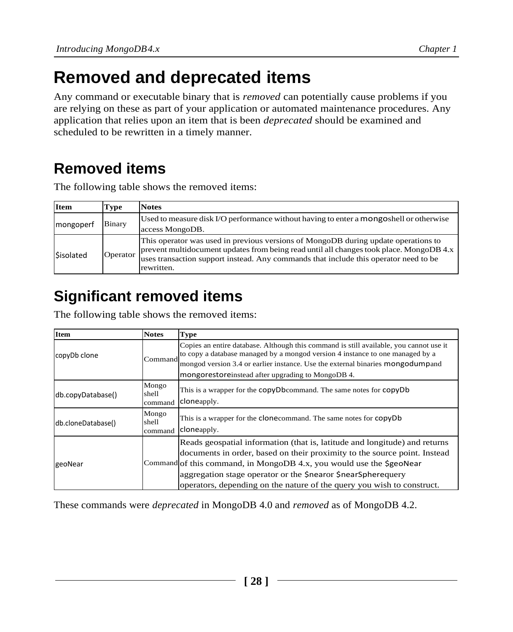## **Removed and deprecated items**

Any command or executable binary that is *removed* can potentially cause problems if you are relying on these as part of your application or automated maintenance procedures. Any application that relies upon an item that is been *deprecated* should be examined and scheduled to be rewritten in a timely manner.

#### **Removed items**

The following table shows the removed items:

| <b>Item</b>      | Type          | <b>Notes</b>                                                                                                                                                                                                                                                                                 |
|------------------|---------------|----------------------------------------------------------------------------------------------------------------------------------------------------------------------------------------------------------------------------------------------------------------------------------------------|
| mongoperf        | <b>Binary</b> | Used to measure disk I/O performance without having to enter a mongoshell or otherwise                                                                                                                                                                                                       |
|                  |               | access MongoDB.                                                                                                                                                                                                                                                                              |
| <b>Sisolated</b> |               | This operator was used in previous versions of MongoDB during update operations to<br>Operator prevent multidocument updates from being read until all changes took place. MongoDB 4.x<br>uses transaction support instead. Any commands that include this operator need to be<br>rewritten. |

#### **Significant removed items**

The following table shows the removed items:

| Item               | <b>Notes</b>              | <b>Type</b>                                                                                                                                                                                                                                                                                                                                                                  |
|--------------------|---------------------------|------------------------------------------------------------------------------------------------------------------------------------------------------------------------------------------------------------------------------------------------------------------------------------------------------------------------------------------------------------------------------|
| copyDb clone       | Command                   | Copies an entire database. Although this command is still available, you cannot use it<br>to copy a database managed by a mongod version 4 instance to one managed by a<br>mongod version 3.4 or earlier instance. Use the external binaries mongodumpand<br>mongorestoreinstead after upgrading to MongoDB 4.                                                               |
| db.copyDatabase()  | Mongo<br>shell<br>command | This is a wrapper for the copyDb command. The same notes for copyDb<br>cloneapply.                                                                                                                                                                                                                                                                                           |
| db.cloneDatabase() | Mongo<br>shell<br>command | This is a wrapper for the clone command. The same notes for copy Db<br>cloneapply.                                                                                                                                                                                                                                                                                           |
| geoNear            |                           | Reads geospatial information (that is, latitude and longitude) and returns<br>documents in order, based on their proximity to the source point. Instead<br>Command of this command, in MongoDB $4.x$ , you would use the \$geoNear<br>aggregation stage operator or the \$nearor \$nearSpherequery<br>operators, depending on the nature of the query you wish to construct. |

These commands were *deprecated* in MongoDB 4.0 and *removed* as of MongoDB 4.2.